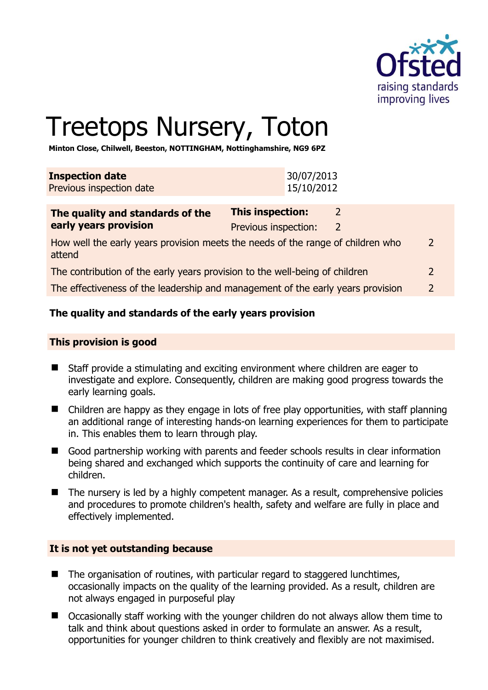

# Treetops Nursery, Toton

**Minton Close, Chilwell, Beeston, NOTTINGHAM, Nottinghamshire, NG9 6PZ** 

| <b>Inspection date</b>   | 30/07/2013 |
|--------------------------|------------|
| Previous inspection date | 15/10/2012 |
|                          |            |

| <b>This inspection:</b> |   |                                                                                                                                                                                                                                                   |
|-------------------------|---|---------------------------------------------------------------------------------------------------------------------------------------------------------------------------------------------------------------------------------------------------|
| Previous inspection:    | 2 |                                                                                                                                                                                                                                                   |
|                         |   | 2                                                                                                                                                                                                                                                 |
|                         |   | 2                                                                                                                                                                                                                                                 |
|                         |   | $\mathcal{L}$                                                                                                                                                                                                                                     |
|                         |   | How well the early years provision meets the needs of the range of children who<br>The contribution of the early years provision to the well-being of children<br>The effectiveness of the leadership and management of the early years provision |

# **The quality and standards of the early years provision**

# **This provision is good**

- Staff provide a stimulating and exciting environment where children are eager to investigate and explore. Consequently, children are making good progress towards the early learning goals.
- Children are happy as they engage in lots of free play opportunities, with staff planning an additional range of interesting hands-on learning experiences for them to participate in. This enables them to learn through play.
- Good partnership working with parents and feeder schools results in clear information being shared and exchanged which supports the continuity of care and learning for children.
- The nursery is led by a highly competent manager. As a result, comprehensive policies and procedures to promote children's health, safety and welfare are fully in place and effectively implemented.

# **It is not yet outstanding because**

- The organisation of routines, with particular regard to staggered lunchtimes, occasionally impacts on the quality of the learning provided. As a result, children are not always engaged in purposeful play
- Occasionally staff working with the younger children do not always allow them time to talk and think about questions asked in order to formulate an answer. As a result, opportunities for younger children to think creatively and flexibly are not maximised.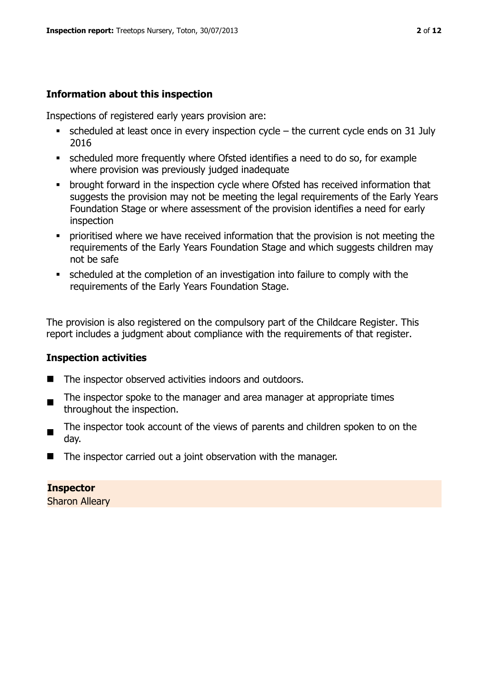# **Information about this inspection**

Inspections of registered early years provision are:

- $\bullet$  scheduled at least once in every inspection cycle the current cycle ends on 31 July 2016
- scheduled more frequently where Ofsted identifies a need to do so, for example where provision was previously judged inadequate
- **•** brought forward in the inspection cycle where Ofsted has received information that suggests the provision may not be meeting the legal requirements of the Early Years Foundation Stage or where assessment of the provision identifies a need for early inspection
- **•** prioritised where we have received information that the provision is not meeting the requirements of the Early Years Foundation Stage and which suggests children may not be safe
- scheduled at the completion of an investigation into failure to comply with the requirements of the Early Years Foundation Stage.

The provision is also registered on the compulsory part of the Childcare Register. This report includes a judgment about compliance with the requirements of that register.

# **Inspection activities**

- The inspector observed activities indoors and outdoors.
- ш The inspector spoke to the manager and area manager at appropriate times throughout the inspection.
- The inspector took account of the views of parents and children spoken to on the day.
- The inspector carried out a joint observation with the manager.

**Inspector**  Sharon Alleary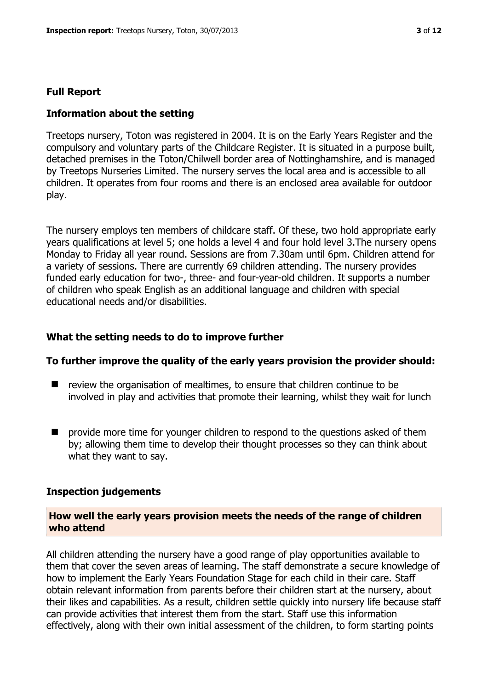# **Full Report**

# **Information about the setting**

Treetops nursery, Toton was registered in 2004. It is on the Early Years Register and the compulsory and voluntary parts of the Childcare Register. It is situated in a purpose built, detached premises in the Toton/Chilwell border area of Nottinghamshire, and is managed by Treetops Nurseries Limited. The nursery serves the local area and is accessible to all children. It operates from four rooms and there is an enclosed area available for outdoor play.

The nursery employs ten members of childcare staff. Of these, two hold appropriate early years qualifications at level 5; one holds a level 4 and four hold level 3.The nursery opens Monday to Friday all year round. Sessions are from 7.30am until 6pm. Children attend for a variety of sessions. There are currently 69 children attending. The nursery provides funded early education for two-, three- and four-year-old children. It supports a number of children who speak English as an additional language and children with special educational needs and/or disabilities.

# **What the setting needs to do to improve further**

# **To further improve the quality of the early years provision the provider should:**

- review the organisation of mealtimes, to ensure that children continue to be involved in play and activities that promote their learning, whilst they wait for lunch
- $\blacksquare$  provide more time for younger children to respond to the questions asked of them by; allowing them time to develop their thought processes so they can think about what they want to say.

#### **Inspection judgements**

# **How well the early years provision meets the needs of the range of children who attend**

All children attending the nursery have a good range of play opportunities available to them that cover the seven areas of learning. The staff demonstrate a secure knowledge of how to implement the Early Years Foundation Stage for each child in their care. Staff obtain relevant information from parents before their children start at the nursery, about their likes and capabilities. As a result, children settle quickly into nursery life because staff can provide activities that interest them from the start. Staff use this information effectively, along with their own initial assessment of the children, to form starting points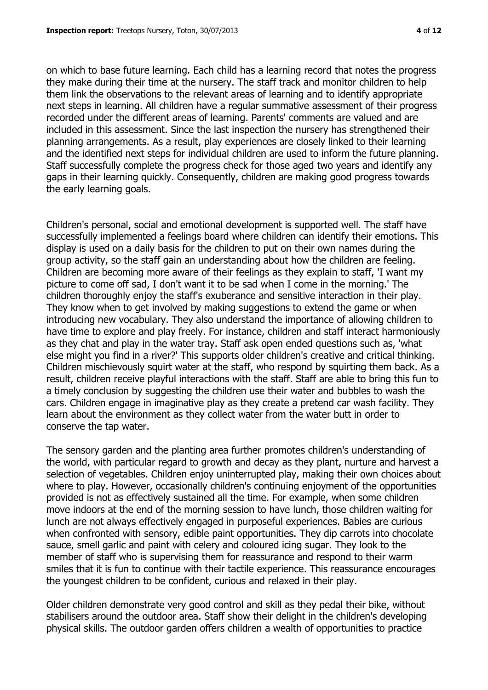on which to base future learning. Each child has a learning record that notes the progress they make during their time at the nursery. The staff track and monitor children to help them link the observations to the relevant areas of learning and to identify appropriate next steps in learning. All children have a regular summative assessment of their progress recorded under the different areas of learning. Parents' comments are valued and are included in this assessment. Since the last inspection the nursery has strengthened their planning arrangements. As a result, play experiences are closely linked to their learning and the identified next steps for individual children are used to inform the future planning. Staff successfully complete the progress check for those aged two years and identify any gaps in their learning quickly. Consequently, children are making good progress towards the early learning goals.

Children's personal, social and emotional development is supported well. The staff have successfully implemented a feelings board where children can identify their emotions. This display is used on a daily basis for the children to put on their own names during the group activity, so the staff gain an understanding about how the children are feeling. Children are becoming more aware of their feelings as they explain to staff, 'I want my picture to come off sad, I don't want it to be sad when I come in the morning.' The children thoroughly enjoy the staff's exuberance and sensitive interaction in their play. They know when to get involved by making suggestions to extend the game or when introducing new vocabulary. They also understand the importance of allowing children to have time to explore and play freely. For instance, children and staff interact harmoniously as they chat and play in the water tray. Staff ask open ended questions such as, 'what else might you find in a river?' This supports older children's creative and critical thinking. Children mischievously squirt water at the staff, who respond by squirting them back. As a result, children receive playful interactions with the staff. Staff are able to bring this fun to a timely conclusion by suggesting the children use their water and bubbles to wash the cars. Children engage in imaginative play as they create a pretend car wash facility. They learn about the environment as they collect water from the water butt in order to conserve the tap water.

The sensory garden and the planting area further promotes children's understanding of the world, with particular regard to growth and decay as they plant, nurture and harvest a selection of vegetables. Children enjoy uninterrupted play, making their own choices about where to play. However, occasionally children's continuing enjoyment of the opportunities provided is not as effectively sustained all the time. For example, when some children move indoors at the end of the morning session to have lunch, those children waiting for lunch are not always effectively engaged in purposeful experiences. Babies are curious when confronted with sensory, edible paint opportunities. They dip carrots into chocolate sauce, smell garlic and paint with celery and coloured icing sugar. They look to the member of staff who is supervising them for reassurance and respond to their warm smiles that it is fun to continue with their tactile experience. This reassurance encourages the youngest children to be confident, curious and relaxed in their play.

Older children demonstrate very good control and skill as they pedal their bike, without stabilisers around the outdoor area. Staff show their delight in the children's developing physical skills. The outdoor garden offers children a wealth of opportunities to practice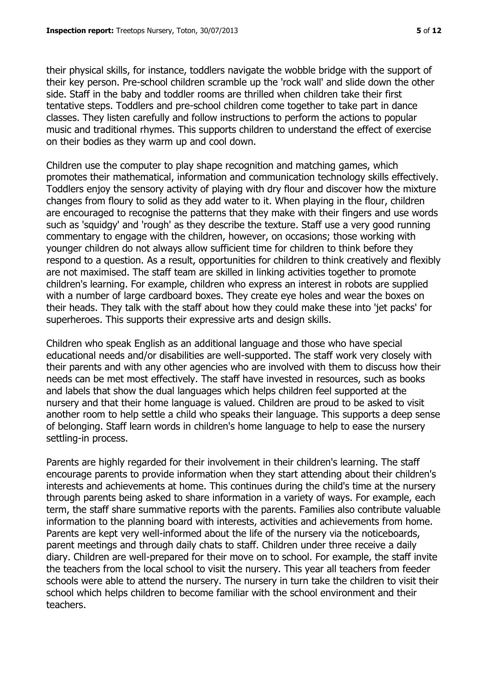their physical skills, for instance, toddlers navigate the wobble bridge with the support of their key person. Pre-school children scramble up the 'rock wall' and slide down the other side. Staff in the baby and toddler rooms are thrilled when children take their first tentative steps. Toddlers and pre-school children come together to take part in dance classes. They listen carefully and follow instructions to perform the actions to popular music and traditional rhymes. This supports children to understand the effect of exercise on their bodies as they warm up and cool down.

Children use the computer to play shape recognition and matching games, which promotes their mathematical, information and communication technology skills effectively. Toddlers enjoy the sensory activity of playing with dry flour and discover how the mixture changes from floury to solid as they add water to it. When playing in the flour, children are encouraged to recognise the patterns that they make with their fingers and use words such as 'squidgy' and 'rough' as they describe the texture. Staff use a very good running commentary to engage with the children, however, on occasions; those working with younger children do not always allow sufficient time for children to think before they respond to a question. As a result, opportunities for children to think creatively and flexibly are not maximised. The staff team are skilled in linking activities together to promote children's learning. For example, children who express an interest in robots are supplied with a number of large cardboard boxes. They create eye holes and wear the boxes on their heads. They talk with the staff about how they could make these into 'jet packs' for superheroes. This supports their expressive arts and design skills.

Children who speak English as an additional language and those who have special educational needs and/or disabilities are well-supported. The staff work very closely with their parents and with any other agencies who are involved with them to discuss how their needs can be met most effectively. The staff have invested in resources, such as books and labels that show the dual languages which helps children feel supported at the nursery and that their home language is valued. Children are proud to be asked to visit another room to help settle a child who speaks their language. This supports a deep sense of belonging. Staff learn words in children's home language to help to ease the nursery settling-in process.

Parents are highly regarded for their involvement in their children's learning. The staff encourage parents to provide information when they start attending about their children's interests and achievements at home. This continues during the child's time at the nursery through parents being asked to share information in a variety of ways. For example, each term, the staff share summative reports with the parents. Families also contribute valuable information to the planning board with interests, activities and achievements from home. Parents are kept very well-informed about the life of the nursery via the noticeboards, parent meetings and through daily chats to staff. Children under three receive a daily diary. Children are well-prepared for their move on to school. For example, the staff invite the teachers from the local school to visit the nursery. This year all teachers from feeder schools were able to attend the nursery. The nursery in turn take the children to visit their school which helps children to become familiar with the school environment and their teachers.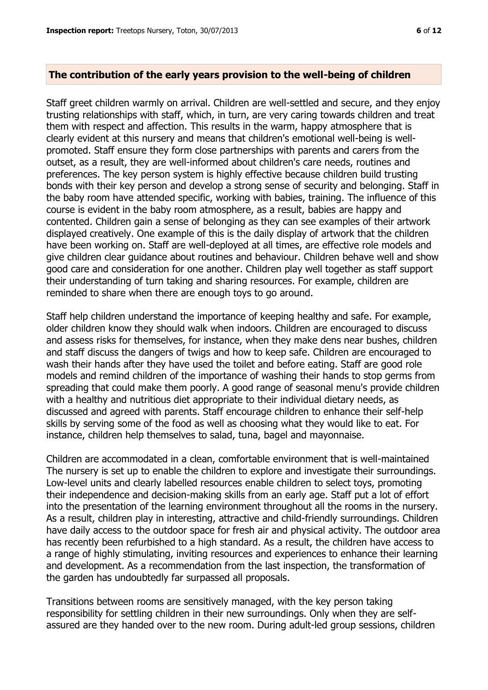#### **The contribution of the early years provision to the well-being of children**

Staff greet children warmly on arrival. Children are well-settled and secure, and they enjoy trusting relationships with staff, which, in turn, are very caring towards children and treat them with respect and affection. This results in the warm, happy atmosphere that is clearly evident at this nursery and means that children's emotional well-being is wellpromoted. Staff ensure they form close partnerships with parents and carers from the outset, as a result, they are well-informed about children's care needs, routines and preferences. The key person system is highly effective because children build trusting bonds with their key person and develop a strong sense of security and belonging. Staff in the baby room have attended specific, working with babies, training. The influence of this course is evident in the baby room atmosphere, as a result, babies are happy and contented. Children gain a sense of belonging as they can see examples of their artwork displayed creatively. One example of this is the daily display of artwork that the children have been working on. Staff are well-deployed at all times, are effective role models and give children clear guidance about routines and behaviour. Children behave well and show good care and consideration for one another. Children play well together as staff support their understanding of turn taking and sharing resources. For example, children are reminded to share when there are enough toys to go around.

Staff help children understand the importance of keeping healthy and safe. For example, older children know they should walk when indoors. Children are encouraged to discuss and assess risks for themselves, for instance, when they make dens near bushes, children and staff discuss the dangers of twigs and how to keep safe. Children are encouraged to wash their hands after they have used the toilet and before eating. Staff are good role models and remind children of the importance of washing their hands to stop germs from spreading that could make them poorly. A good range of seasonal menu's provide children with a healthy and nutritious diet appropriate to their individual dietary needs, as discussed and agreed with parents. Staff encourage children to enhance their self-help skills by serving some of the food as well as choosing what they would like to eat. For instance, children help themselves to salad, tuna, bagel and mayonnaise.

Children are accommodated in a clean, comfortable environment that is well-maintained The nursery is set up to enable the children to explore and investigate their surroundings. Low-level units and clearly labelled resources enable children to select toys, promoting their independence and decision-making skills from an early age. Staff put a lot of effort into the presentation of the learning environment throughout all the rooms in the nursery. As a result, children play in interesting, attractive and child-friendly surroundings. Children have daily access to the outdoor space for fresh air and physical activity. The outdoor area has recently been refurbished to a high standard. As a result, the children have access to a range of highly stimulating, inviting resources and experiences to enhance their learning and development. As a recommendation from the last inspection, the transformation of the garden has undoubtedly far surpassed all proposals.

Transitions between rooms are sensitively managed, with the key person taking responsibility for settling children in their new surroundings. Only when they are selfassured are they handed over to the new room. During adult-led group sessions, children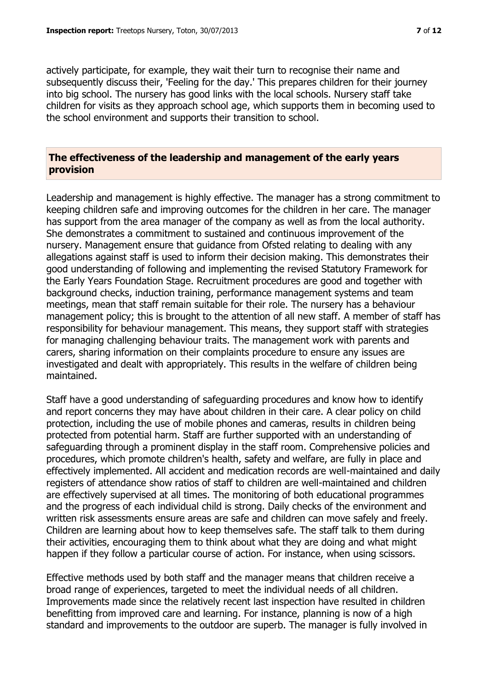actively participate, for example, they wait their turn to recognise their name and subsequently discuss their, 'Feeling for the day.' This prepares children for their journey into big school. The nursery has good links with the local schools. Nursery staff take children for visits as they approach school age, which supports them in becoming used to the school environment and supports their transition to school.

#### **The effectiveness of the leadership and management of the early years provision**

Leadership and management is highly effective. The manager has a strong commitment to keeping children safe and improving outcomes for the children in her care. The manager has support from the area manager of the company as well as from the local authority. She demonstrates a commitment to sustained and continuous improvement of the nursery. Management ensure that guidance from Ofsted relating to dealing with any allegations against staff is used to inform their decision making. This demonstrates their good understanding of following and implementing the revised Statutory Framework for the Early Years Foundation Stage. Recruitment procedures are good and together with background checks, induction training, performance management systems and team meetings, mean that staff remain suitable for their role. The nursery has a behaviour management policy; this is brought to the attention of all new staff. A member of staff has responsibility for behaviour management. This means, they support staff with strategies for managing challenging behaviour traits. The management work with parents and carers, sharing information on their complaints procedure to ensure any issues are investigated and dealt with appropriately. This results in the welfare of children being maintained.

Staff have a good understanding of safeguarding procedures and know how to identify and report concerns they may have about children in their care. A clear policy on child protection, including the use of mobile phones and cameras, results in children being protected from potential harm. Staff are further supported with an understanding of safeguarding through a prominent display in the staff room. Comprehensive policies and procedures, which promote children's health, safety and welfare, are fully in place and effectively implemented. All accident and medication records are well-maintained and daily registers of attendance show ratios of staff to children are well-maintained and children are effectively supervised at all times. The monitoring of both educational programmes and the progress of each individual child is strong. Daily checks of the environment and written risk assessments ensure areas are safe and children can move safely and freely. Children are learning about how to keep themselves safe. The staff talk to them during their activities, encouraging them to think about what they are doing and what might happen if they follow a particular course of action. For instance, when using scissors.

Effective methods used by both staff and the manager means that children receive a broad range of experiences, targeted to meet the individual needs of all children. Improvements made since the relatively recent last inspection have resulted in children benefitting from improved care and learning. For instance, planning is now of a high standard and improvements to the outdoor are superb. The manager is fully involved in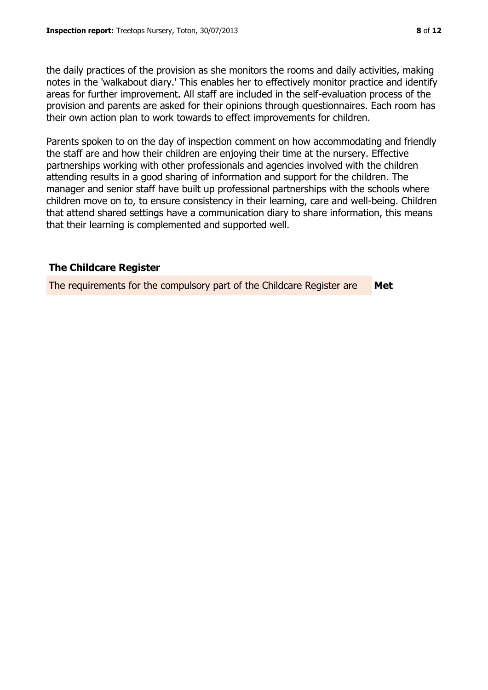the daily practices of the provision as she monitors the rooms and daily activities, making notes in the 'walkabout diary.' This enables her to effectively monitor practice and identify areas for further improvement. All staff are included in the self-evaluation process of the provision and parents are asked for their opinions through questionnaires. Each room has their own action plan to work towards to effect improvements for children.

Parents spoken to on the day of inspection comment on how accommodating and friendly the staff are and how their children are enjoying their time at the nursery. Effective partnerships working with other professionals and agencies involved with the children attending results in a good sharing of information and support for the children. The manager and senior staff have built up professional partnerships with the schools where children move on to, to ensure consistency in their learning, care and well-being. Children that attend shared settings have a communication diary to share information, this means that their learning is complemented and supported well.

# **The Childcare Register**

The requirements for the compulsory part of the Childcare Register are **Met**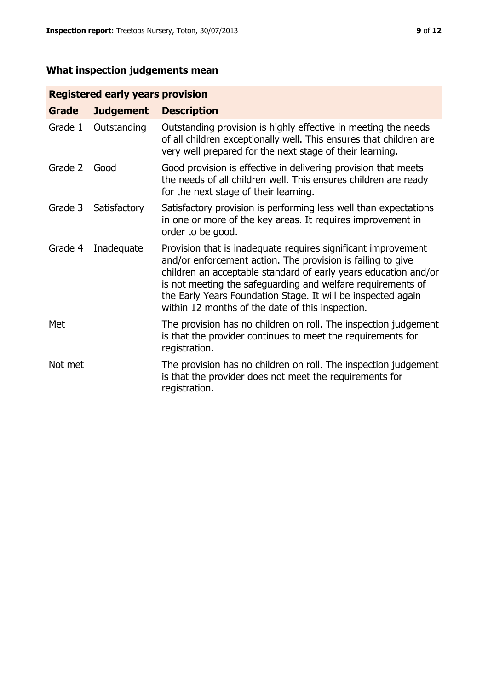# **What inspection judgements mean**

# **Registered early years provision**

| Grade   | <b>Judgement</b> | <b>Description</b>                                                                                                                                                                                                                                                                                                                                                                 |
|---------|------------------|------------------------------------------------------------------------------------------------------------------------------------------------------------------------------------------------------------------------------------------------------------------------------------------------------------------------------------------------------------------------------------|
| Grade 1 | Outstanding      | Outstanding provision is highly effective in meeting the needs<br>of all children exceptionally well. This ensures that children are<br>very well prepared for the next stage of their learning.                                                                                                                                                                                   |
| Grade 2 | Good             | Good provision is effective in delivering provision that meets<br>the needs of all children well. This ensures children are ready<br>for the next stage of their learning.                                                                                                                                                                                                         |
| Grade 3 | Satisfactory     | Satisfactory provision is performing less well than expectations<br>in one or more of the key areas. It requires improvement in<br>order to be good.                                                                                                                                                                                                                               |
| Grade 4 | Inadequate       | Provision that is inadequate requires significant improvement<br>and/or enforcement action. The provision is failing to give<br>children an acceptable standard of early years education and/or<br>is not meeting the safeguarding and welfare requirements of<br>the Early Years Foundation Stage. It will be inspected again<br>within 12 months of the date of this inspection. |
| Met     |                  | The provision has no children on roll. The inspection judgement<br>is that the provider continues to meet the requirements for<br>registration.                                                                                                                                                                                                                                    |
| Not met |                  | The provision has no children on roll. The inspection judgement<br>is that the provider does not meet the requirements for<br>registration.                                                                                                                                                                                                                                        |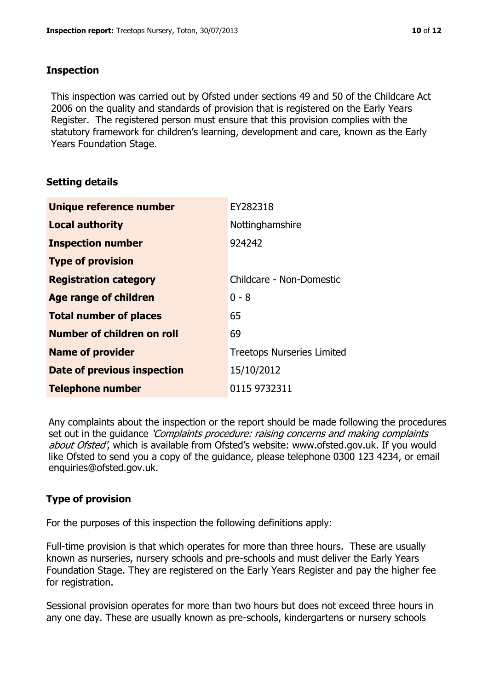# **Inspection**

This inspection was carried out by Ofsted under sections 49 and 50 of the Childcare Act 2006 on the quality and standards of provision that is registered on the Early Years Register. The registered person must ensure that this provision complies with the statutory framework for children's learning, development and care, known as the Early Years Foundation Stage.

# **Setting details**

| Unique reference number            | EY282318                          |
|------------------------------------|-----------------------------------|
| <b>Local authority</b>             | Nottinghamshire                   |
| <b>Inspection number</b>           | 924242                            |
| <b>Type of provision</b>           |                                   |
| <b>Registration category</b>       | Childcare - Non-Domestic          |
| Age range of children              | $0 - 8$                           |
| <b>Total number of places</b>      | 65                                |
| Number of children on roll         | 69                                |
| <b>Name of provider</b>            | <b>Treetops Nurseries Limited</b> |
| <b>Date of previous inspection</b> | 15/10/2012                        |
| <b>Telephone number</b>            | 0115 9732311                      |

Any complaints about the inspection or the report should be made following the procedures set out in the guidance *'Complaints procedure: raising concerns and making complaints* about Ofsted', which is available from Ofsted's website: www.ofsted.gov.uk. If you would like Ofsted to send you a copy of the guidance, please telephone 0300 123 4234, or email enquiries@ofsted.gov.uk.

# **Type of provision**

For the purposes of this inspection the following definitions apply:

Full-time provision is that which operates for more than three hours. These are usually known as nurseries, nursery schools and pre-schools and must deliver the Early Years Foundation Stage. They are registered on the Early Years Register and pay the higher fee for registration.

Sessional provision operates for more than two hours but does not exceed three hours in any one day. These are usually known as pre-schools, kindergartens or nursery schools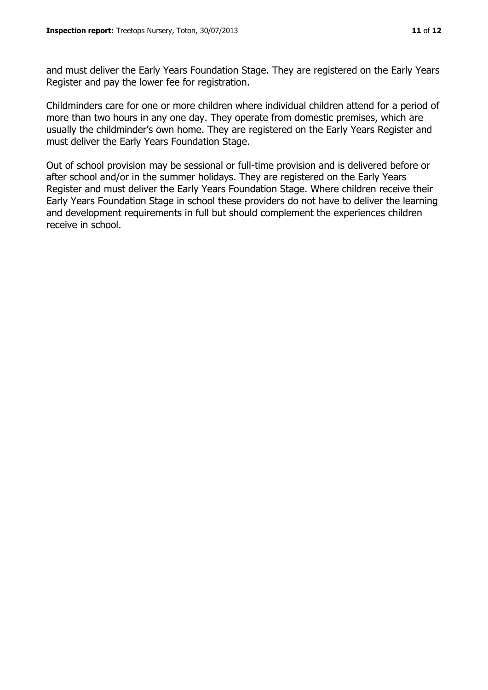and must deliver the Early Years Foundation Stage. They are registered on the Early Years Register and pay the lower fee for registration.

Childminders care for one or more children where individual children attend for a period of more than two hours in any one day. They operate from domestic premises, which are usually the childminder's own home. They are registered on the Early Years Register and must deliver the Early Years Foundation Stage.

Out of school provision may be sessional or full-time provision and is delivered before or after school and/or in the summer holidays. They are registered on the Early Years Register and must deliver the Early Years Foundation Stage. Where children receive their Early Years Foundation Stage in school these providers do not have to deliver the learning and development requirements in full but should complement the experiences children receive in school.